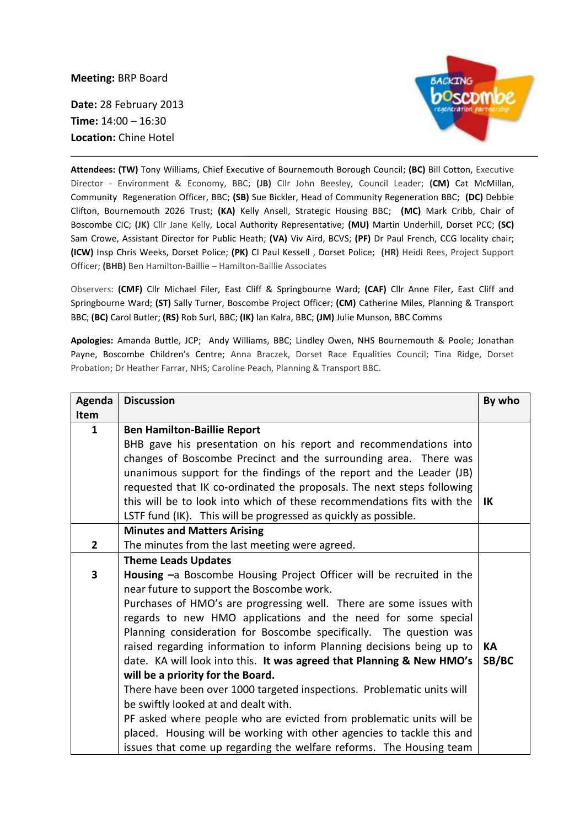**Meeting:** BRP Board

**Date:** 28 February 2013 **Time:** 14:00 – 16:30 **Location:** Chine Hotel



**Attendees: (TW)** Tony Williams, Chief Executive of Bournemouth Borough Council; **(BC)** Bill Cotton, Executive Director - Environment & Economy, BBC; **(JB)** Cllr John Beesley, Council Leader; **(CM)** Cat McMillan, Community Regeneration Officer, BBC; **(SB)** Sue Bickler, Head of Community Regeneration BBC; **(DC)** Debbie Clifton, Bournemouth 2026 Trust; **(KA)** Kelly Ansell, Strategic Housing BBC; **(MC)** Mark Cribb, Chair of Boscombe CIC; **(JK)** Cllr Jane Kelly, Local Authority Representative; **(MU)** Martin Underhill, Dorset PCC; **(SC)**  Sam Crowe, Assistant Director for Public Heath; **(VA)** Viv Aird, BCVS; **(PF)** Dr Paul French, CCG locality chair; **(ICW)** Insp Chris Weeks, Dorset Police; **(PK)** CI Paul Kessell , Dorset Police; **(HR)** Heidi Rees, Project Support Officer; **(BHB)** Ben Hamilton-Baillie – Hamilton-Baillie Associates

Observers: **(CMF)** Cllr Michael Filer, East Cliff & Springbourne Ward; **(CAF)** Cllr Anne Filer, East Cliff and Springbourne Ward; **(ST)** Sally Turner, Boscombe Project Officer; **(CM)** Catherine Miles, Planning & Transport BBC; **(BC)** Carol Butler; **(RS)** Rob Surl, BBC; **(IK)** Ian Kalra, BBC; **(JM)** Julie Munson, BBC Comms

**Apologies:** Amanda Buttle, JCP; Andy Williams, BBC; Lindley Owen, NHS Bournemouth & Poole; Jonathan Payne, Boscombe Children's Centre; Anna Braczek, Dorset Race Equalities Council; Tina Ridge, Dorset Probation; Dr Heather Farrar, NHS; Caroline Peach, Planning & Transport BBC.

| Agenda         | <b>Discussion</b>                                                      | By who |
|----------------|------------------------------------------------------------------------|--------|
| Item           |                                                                        |        |
| 1              | <b>Ben Hamilton-Baillie Report</b>                                     |        |
|                | BHB gave his presentation on his report and recommendations into       |        |
|                | changes of Boscombe Precinct and the surrounding area. There was       |        |
|                | unanimous support for the findings of the report and the Leader (JB)   |        |
|                | requested that IK co-ordinated the proposals. The next steps following |        |
|                | this will be to look into which of these recommendations fits with the | ΙK     |
|                | LSTF fund (IK). This will be progressed as quickly as possible.        |        |
|                | <b>Minutes and Matters Arising</b>                                     |        |
| $\overline{2}$ | The minutes from the last meeting were agreed.                         |        |
|                | <b>Theme Leads Updates</b>                                             |        |
| 3              | Housing -a Boscombe Housing Project Officer will be recruited in the   |        |
|                | near future to support the Boscombe work.                              |        |
|                | Purchases of HMO's are progressing well. There are some issues with    |        |
|                | regards to new HMO applications and the need for some special          |        |
|                | Planning consideration for Boscombe specifically. The question was     |        |
|                | raised regarding information to inform Planning decisions being up to  | КA     |
|                | date. KA will look into this. It was agreed that Planning & New HMO's  | SB/BC  |
|                | will be a priority for the Board.                                      |        |
|                | There have been over 1000 targeted inspections. Problematic units will |        |
|                | be swiftly looked at and dealt with.                                   |        |
|                | PF asked where people who are evicted from problematic units will be   |        |
|                | placed. Housing will be working with other agencies to tackle this and |        |
|                | issues that come up regarding the welfare reforms. The Housing team    |        |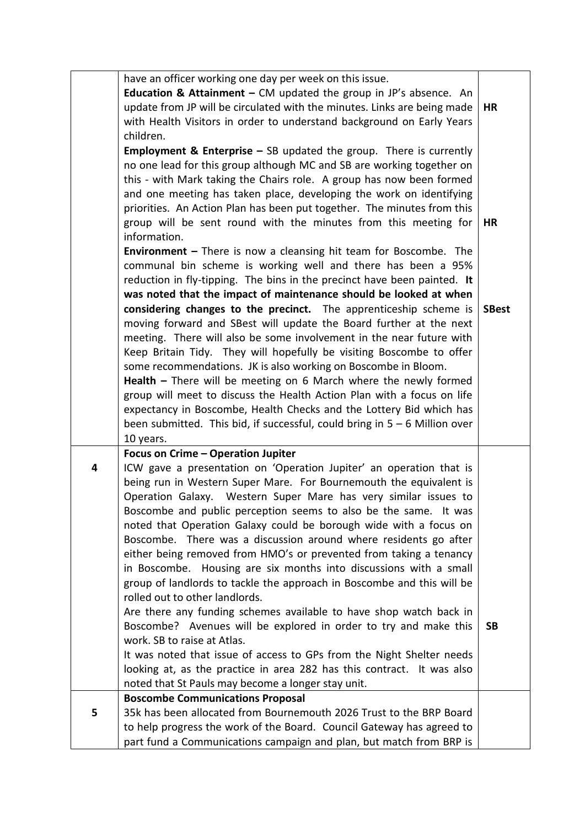|   | have an officer working one day per week on this issue.<br>Education & Attainment $-$ CM updated the group in JP's absence. An |              |
|---|--------------------------------------------------------------------------------------------------------------------------------|--------------|
|   | update from JP will be circulated with the minutes. Links are being made                                                       | <b>HR</b>    |
|   | with Health Visitors in order to understand background on Early Years                                                          |              |
|   | children.                                                                                                                      |              |
|   |                                                                                                                                |              |
|   | <b>Employment &amp; Enterprise - SB updated the group.</b> There is currently                                                  |              |
|   | no one lead for this group although MC and SB are working together on                                                          |              |
|   | this - with Mark taking the Chairs role. A group has now been formed                                                           |              |
|   | and one meeting has taken place, developing the work on identifying                                                            |              |
|   | priorities. An Action Plan has been put together. The minutes from this                                                        |              |
|   | group will be sent round with the minutes from this meeting for                                                                | HR           |
|   | information.                                                                                                                   |              |
|   | <b>Environment</b> $-$ There is now a cleansing hit team for Boscombe. The                                                     |              |
|   | communal bin scheme is working well and there has been a 95%                                                                   |              |
|   | reduction in fly-tipping. The bins in the precinct have been painted. It                                                       |              |
|   | was noted that the impact of maintenance should be looked at when                                                              |              |
|   | considering changes to the precinct. The apprenticeship scheme is                                                              | <b>SBest</b> |
|   | moving forward and SBest will update the Board further at the next                                                             |              |
|   | meeting. There will also be some involvement in the near future with                                                           |              |
|   | Keep Britain Tidy. They will hopefully be visiting Boscombe to offer                                                           |              |
|   | some recommendations. JK is also working on Boscombe in Bloom.                                                                 |              |
|   | <b>Health</b> $-$ There will be meeting on 6 March where the newly formed                                                      |              |
|   | group will meet to discuss the Health Action Plan with a focus on life                                                         |              |
|   | expectancy in Boscombe, Health Checks and the Lottery Bid which has                                                            |              |
|   | been submitted. This bid, if successful, could bring in $5 - 6$ Million over                                                   |              |
|   | 10 years.                                                                                                                      |              |
|   | Focus on Crime - Operation Jupiter                                                                                             |              |
| 4 | ICW gave a presentation on 'Operation Jupiter' an operation that is                                                            |              |
|   | being run in Western Super Mare. For Bournemouth the equivalent is                                                             |              |
|   | Operation Galaxy. Western Super Mare has very similar issues to                                                                |              |
|   | Boscombe and public perception seems to also be the same. It was                                                               |              |
|   | noted that Operation Galaxy could be borough wide with a focus on                                                              |              |
|   | Boscombe. There was a discussion around where residents go after                                                               |              |
|   | either being removed from HMO's or prevented from taking a tenancy                                                             |              |
|   | in Boscombe. Housing are six months into discussions with a small                                                              |              |
|   | group of landlords to tackle the approach in Boscombe and this will be                                                         |              |
|   | rolled out to other landlords.                                                                                                 |              |
|   | Are there any funding schemes available to have shop watch back in                                                             |              |
|   |                                                                                                                                |              |
|   | Boscombe? Avenues will be explored in order to try and make this<br>work. SB to raise at Atlas.                                | <b>SB</b>    |
|   |                                                                                                                                |              |
|   | It was noted that issue of access to GPs from the Night Shelter needs                                                          |              |
|   | looking at, as the practice in area 282 has this contract. It was also                                                         |              |
|   | noted that St Pauls may become a longer stay unit.                                                                             |              |
|   | <b>Boscombe Communications Proposal</b>                                                                                        |              |
| 5 | 35k has been allocated from Bournemouth 2026 Trust to the BRP Board                                                            |              |
|   | to help progress the work of the Board. Council Gateway has agreed to                                                          |              |
|   | part fund a Communications campaign and plan, but match from BRP is                                                            |              |